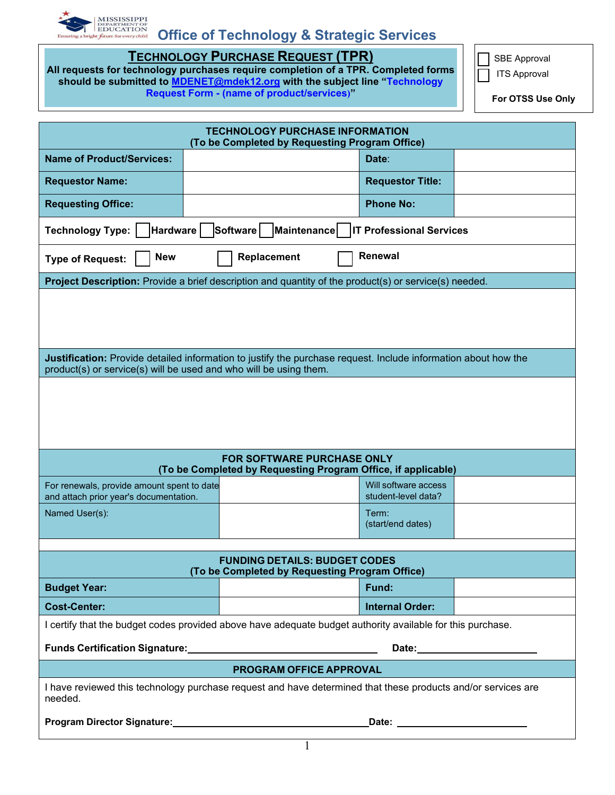

## **Office of Technology & Strategic Services**

**TECHNOLOGY PURCHASE REQUEST (TPR)**

**All requests for technology purchases require completion of a TPR. Completed forms should be submitted to [MDENET@mdek12.org](mailto:MDENET@mdek12.org) with the subject line "Technology Request Form - (name of product/services)"** 

SBE Approval

ITS Approval

**For OTSS Use Only**

| <b>TECHNOLOGY PURCHASE INFORMATION</b><br>(To be Completed by Requesting Program Office)                                                                                                                                       |  |  |                                             |  |  |
|--------------------------------------------------------------------------------------------------------------------------------------------------------------------------------------------------------------------------------|--|--|---------------------------------------------|--|--|
| <b>Name of Product/Services:</b>                                                                                                                                                                                               |  |  | Date:                                       |  |  |
| <b>Requestor Name:</b>                                                                                                                                                                                                         |  |  | <b>Requestor Title:</b>                     |  |  |
| <b>Requesting Office:</b>                                                                                                                                                                                                      |  |  | <b>Phone No:</b>                            |  |  |
| <b>Hardware</b><br>Software<br><b>Technology Type:</b><br>Maintenance<br><b>IT Professional Services</b>                                                                                                                       |  |  |                                             |  |  |
| <b>Renewal</b><br><b>New</b><br>Replacement<br><b>Type of Request:</b>                                                                                                                                                         |  |  |                                             |  |  |
| Project Description: Provide a brief description and quantity of the product(s) or service(s) needed.                                                                                                                          |  |  |                                             |  |  |
|                                                                                                                                                                                                                                |  |  |                                             |  |  |
| Justification: Provide detailed information to justify the purchase request. Include information about how the<br>product(s) or service(s) will be used and who will be using them.                                            |  |  |                                             |  |  |
|                                                                                                                                                                                                                                |  |  |                                             |  |  |
| <b>FOR SOFTWARE PURCHASE ONLY</b><br>(To be Completed by Requesting Program Office, if applicable)                                                                                                                             |  |  |                                             |  |  |
| For renewals, provide amount spent to date<br>and attach prior year's documentation.                                                                                                                                           |  |  | Will software access<br>student-level data? |  |  |
| Named User(s):                                                                                                                                                                                                                 |  |  | Term:<br>(start/end dates)                  |  |  |
| <b>FUNDING DETAILS: BUDGET CODES</b><br>(To be Completed by Requesting Program Office)                                                                                                                                         |  |  |                                             |  |  |
| <b>Budget Year:</b>                                                                                                                                                                                                            |  |  | Fund:                                       |  |  |
| <b>Cost-Center:</b>                                                                                                                                                                                                            |  |  | <b>Internal Order:</b>                      |  |  |
| I certify that the budget codes provided above have adequate budget authority available for this purchase.                                                                                                                     |  |  |                                             |  |  |
| Funds Certification Signature: Manual Account of the Certification Signature:<br>Date: <u>Date: Experience</u>                                                                                                                 |  |  |                                             |  |  |
| PROGRAM OFFICE APPROVAL                                                                                                                                                                                                        |  |  |                                             |  |  |
| I have reviewed this technology purchase request and have determined that these products and/or services are<br>needed.                                                                                                        |  |  |                                             |  |  |
| Program Director Signature: Manual According to the Contract of Trustee and Trustee and Trustee and Trustee and Trustee and Trustee and Trustee and Trustee and Trustee and Trustee and Trustee and Trustee and Trustee and Tr |  |  |                                             |  |  |